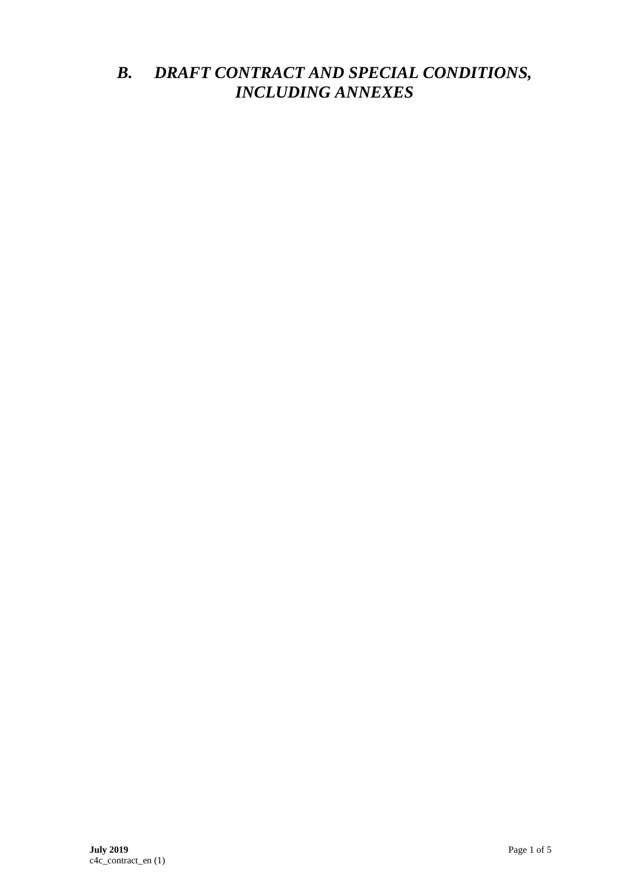# *B. DRAFT CONTRACT AND SPECIAL CONDITIONS, INCLUDING ANNEXES*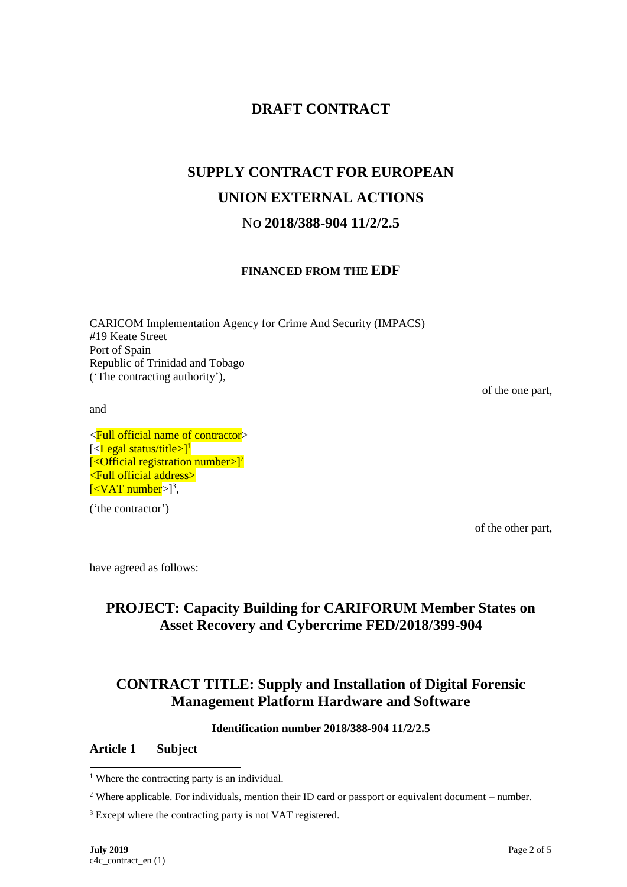# **DRAFT CONTRACT**

# **SUPPLY CONTRACT FOR EUROPEAN UNION EXTERNAL ACTIONS** N**O 2018/388-904 11/2/2.5**

## **FINANCED FROM THE EDF**

CARICOM Implementation Agency for Crime And Security (IMPACS) #19 Keate Street Port of Spain Republic of Trinidad and Tobago ('The contracting authority'),

and

<Full official name of contractor> [<Legal status/title>]<sup>1</sup>  $\left[ \langle \text{Official registration number} \rangle \right]^2$ <Full official address>  $\left[ <$ VAT number $>$ ]<sup>3</sup>,

('the contractor')

of the one part,

of the other part,

have agreed as follows:

## **PROJECT: Capacity Building for CARIFORUM Member States on Asset Recovery and Cybercrime FED/2018/399-904**

# **CONTRACT TITLE: Supply and Installation of Digital Forensic Management Platform Hardware and Software**

#### **Identification number 2018/388-904 11/2/2.5**

#### **Article 1 Subject**

<sup>&</sup>lt;sup>1</sup> Where the contracting party is an individual.

<sup>&</sup>lt;sup>2</sup> Where applicable. For individuals, mention their ID card or passport or equivalent document – number.

<sup>&</sup>lt;sup>3</sup> Except where the contracting party is not VAT registered.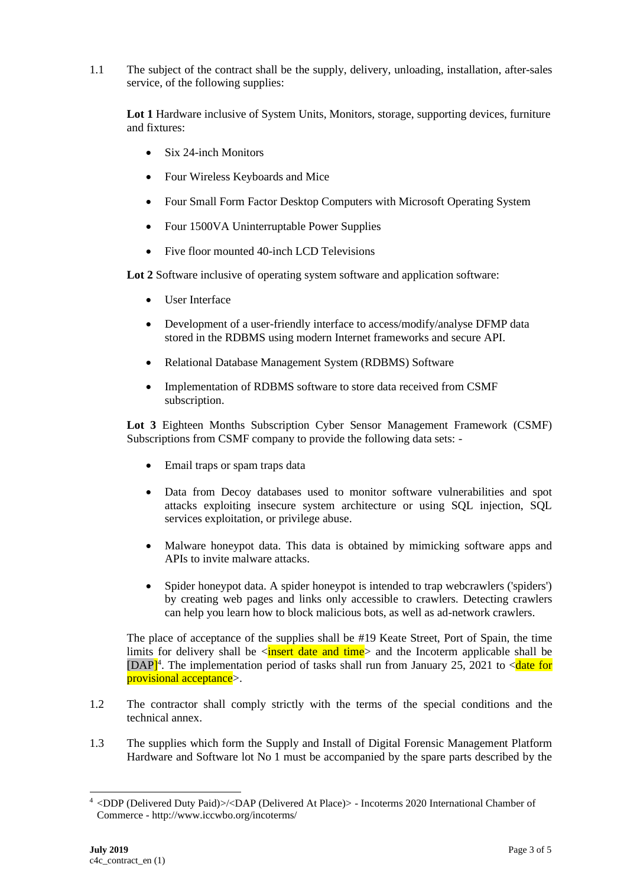1.1 The subject of the contract shall be the supply, delivery, unloading, installation, after-sales service, of the following supplies:

Lot 1 Hardware inclusive of System Units, Monitors, storage, supporting devices, furniture and fixtures:

- Six 24-inch Monitors
- Four Wireless Keyboards and Mice
- Four Small Form Factor Desktop Computers with Microsoft Operating System
- Four 1500VA Uninterruptable Power Supplies
- Five floor mounted 40-inch LCD Televisions

Lot 2 Software inclusive of operating system software and application software:

- User Interface
- Development of a user-friendly interface to access/modify/analyse DFMP data stored in the RDBMS using modern Internet frameworks and secure API.
- Relational Database Management System (RDBMS) Software
- Implementation of RDBMS software to store data received from CSMF subscription.

**Lot 3** Eighteen Months Subscription Cyber Sensor Management Framework (CSMF) Subscriptions from CSMF company to provide the following data sets: -

- Email traps or spam traps data
- Data from Decoy databases used to monitor software vulnerabilities and spot attacks exploiting insecure system architecture or using SQL injection, SQL services exploitation, or privilege abuse.
- Malware honeypot data. This data is obtained by mimicking software apps and APIs to invite malware attacks.
- Spider honeypot data. A spider honeypot is intended to trap webcrawlers ('spiders') by creating web pages and links only accessible to crawlers. Detecting crawlers can help you learn how to block malicious bots, as well as ad-network crawlers.

The place of acceptance of the supplies shall be #19 Keate Street, Port of Spain, the time limits for delivery shall be  $\langle$ **insert date and time** and the Incoterm applicable shall be [DAP]<sup>4</sup>. The implementation period of tasks shall run from January 25, 2021 to  $\lt$  date for provisional acceptance>.

- 1.2 The contractor shall comply strictly with the terms of the special conditions and the technical annex.
- 1.3 The supplies which form the Supply and Install of Digital Forensic Management Platform Hardware and Software lot No 1 must be accompanied by the spare parts described by the

<sup>4</sup> <DDP (Delivered Duty Paid)>/<DAP (Delivered At Place)> - Incoterms 2020 International Chamber of Commerce - http://www.iccwbo.org/incoterms/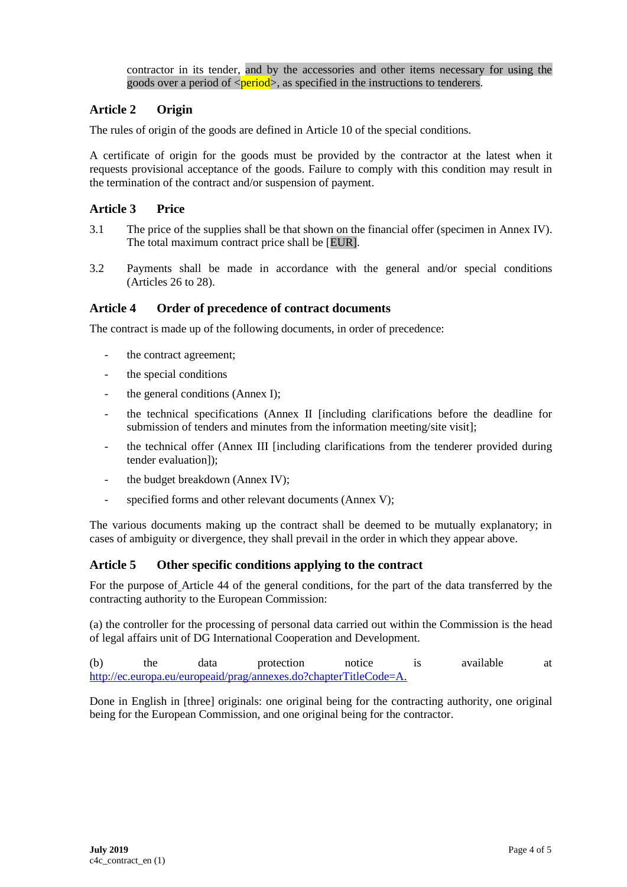contractor in its tender, and by the accessories and other items necessary for using the goods over a period of  $\langle period \rangle$ , as specified in the instructions to tenderers.

## **Article 2 Origin**

The rules of origin of the goods are defined in Article 10 of the special conditions.

A certificate of origin for the goods must be provided by the contractor at the latest when it requests provisional acceptance of the goods. Failure to comply with this condition may result in the termination of the contract and/or suspension of payment.

## **Article 3 Price**

- 3.1 The price of the supplies shall be that shown on the financial offer (specimen in Annex IV). The total maximum contract price shall be [EUR].
- 3.2 Payments shall be made in accordance with the general and/or special conditions (Articles 26 to 28).

#### **Article 4 Order of precedence of contract documents**

The contract is made up of the following documents, in order of precedence:

- the contract agreement;
- the special conditions
- the general conditions (Annex I);
- the technical specifications (Annex II [including clarifications before the deadline for submission of tenders and minutes from the information meeting/site visit];
- the technical offer (Annex III [including clarifications from the tenderer provided during tender evaluation]);
- the budget breakdown (Annex IV);
- specified forms and other relevant documents (Annex V);

The various documents making up the contract shall be deemed to be mutually explanatory; in cases of ambiguity or divergence, they shall prevail in the order in which they appear above.

### **Article 5 Other specific conditions applying to the contract**

For the purpose of Article 44 of the general conditions, for the part of the data transferred by the contracting authority to the European Commission:

(a) the controller for the processing of personal data carried out within the Commission is the head of legal affairs unit of DG International Cooperation and Development.

(b) the data protection notice is available at [http://ec.europa.eu/europeaid/prag/annexes.do?chapterTitleCode=A.](http://ec.europa.eu/europeaid/prag/annexes.do?chapterTitleCode=A)

Done in English in [three] originals: one original being for the contracting authority, one original being for the European Commission, and one original being for the contractor.